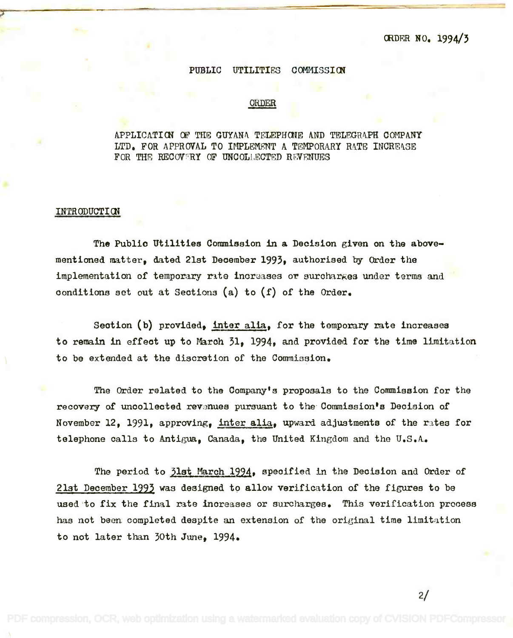## PUBLIC UTILITIES COMMISSION

 $\overline{\mathcal{L}}$  , and the set of the set of the set of the set of the set of the set of the set of the set of the set of the set of the set of the set of the set of the set of the set of the set of the set of the set of the s

## ORDER

## APPLICATION OF THE GUYANA TELEPHONE AND TELEGRAPH COMPANY LTD. FOR APPROVAL TO IMPLEMENT A TEMPORARY RATE INCREASE FOR THE RECOVERY OF UNCOLLECTED REVENUES

## INTRODUCTION

The Publio Utilities Commission in a Decision given on the above-The Publio Utilities Commission in a Deoision given on the abovementioned matter, dated 21st December 1993, authorised by Order the implementation of temporary rate increases or surcharkes under terms and conditions set out at Sections (a) to (f) of the Order. oonditions set out at Seotions (a) to (f) of the Order.

Section (b) provided, <u>inter alia</u>, for the temporary rate increases to remain in effect up to Maroh 31, 1994, and provided for the time limitation to remain in effeot up to Maroh 31. 1994. and provided for the time limitation to be extended at the discretion of the Commission. to be extended at the discretion of the Commission.

The Order related to the Company's proposals to the Commission for the The Order related to the Company's proposals to the Commission for the recovery of uncollected revanues pursuant to the Commission's Decision of November 12, 1991, approving, <u>inter alia</u>, upward adjustments of the rates for telephone calls to Antigua, Canada, the United Kingdom and the U.S.A.

The period to <u>31st March 1994</u>, specified in the Decision and Order of 21st December 1993 was designed to allow verification of the figures to be 21st December 1992 was designed to allow verification of the figures to be used to fix the final rate increases or surcharges. This verification process used-to fix the final rate inoreases or surcharges. This verification prooess has not been completed despite an extension of the original time limitation has not been completed despite an extension of the original time limitation to not later than 30th June, 1994. to not later than 30th June, 1994.